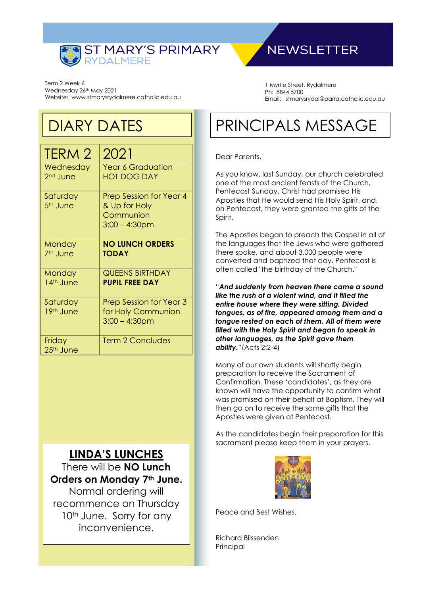

# **NEWSLETTER**

Term 2 Week 6 Wednesday 26th May 2021 Website: www.stmarysrydalmere.catholic.edu.au

1 Myrtle Street, Rydalmere Ph: 8844 5700 Email: stmarysrydal@parra.catholic.edu.au

# DIARY DATES

| TERM 2                            | 2021                                                                             |
|-----------------------------------|----------------------------------------------------------------------------------|
| Wednesday<br>2 <sup>nd</sup> June | <b>Year 6 Graduation</b><br><b>HOT DOG DAY</b>                                   |
| Saturday<br>5 <sup>th</sup> June  | <b>Prep Session for Year 4</b><br>& Up for Holy<br>Communion<br>$3:00 - 4:30$ pm |
| Monday<br>7 <sup>th</sup> June    | <b>NO LUNCH ORDERS</b><br><b>TODAY</b>                                           |
| Monday<br>14th June               | <b>QUEENS BIRTHDAY</b><br><b>PUPIL FREE DAY</b>                                  |
| Saturday<br>19th June             | <b>Prep Session for Year 3</b><br>for Holy Communion<br>$3:00 - 4:30$ pm         |
| Friday<br>25 <sup>th</sup> June   | <b>Term 2 Concludes</b>                                                          |

# **LINDA'S LUNCHES**

There will be **NO Lunch Orders on Monday 7th June.** Normal ordering will recommence on Thursday 10<sup>th</sup> June. Sorry for any inconvenience.

# PRINCIPALS MESSAGE

#### Dear Parents,

As you know, last Sunday, our church celebrated one of the most ancient feasts of the Church, Pentecost Sunday. Christ had promised His Apostles that He would send His Holy Spirit, and, on Pentecost, they were granted the gifts of the Spirit.

The Apostles began to preach the Gospel in all of the languages that the Jews who were gathered there spoke, and about 3,000 people were converted and baptized that day. Pentecost is often called "the birthday of the Church."

"*And suddenly from heaven there came a sound like the rush of a violent wind, and it filled the entire house where they were sitting. Divided tongues, as of fire, appeared among them and a tongue rested on each of them. All of them were filled with the Holy Spirit and began to speak in other languages, as the Spirit gave them ability.*"(Acts 2:2-4)

Many of our own students will shortly begin preparation to receive the Sacrament of Confirmation. These 'candidates', as they are known will have the opportunity to confirm what was promised on their behalf at Baptism. They will then go on to receive the same gifts that the Apostles were given at Pentecost.

As the candidates begin their preparation for this sacrament please keep them in your prayers.



Peace and Best Wishes.

Richard Blissenden Principal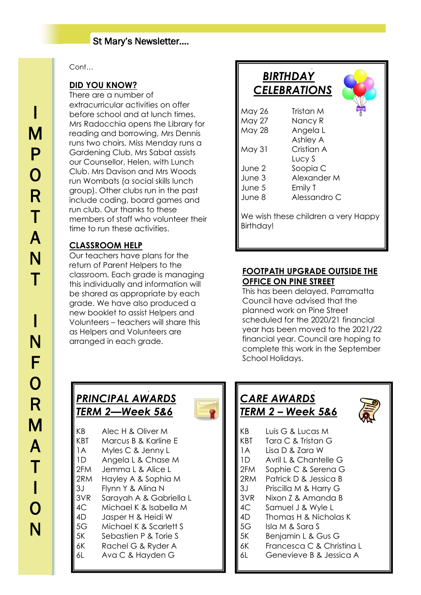## St Mary's Newsletter….

#### Cont…

#### **DID YOU KNOW?**

There are a number of extracurricular activities on offer before school and at lunch times. Mrs Radocchia opens the Library for reading and borrowing, Mrs Dennis runs two choirs, Miss Menday runs a Gardening Club, Mrs Sabat assists our Counsellor, Helen, with Lunch Club. Mrs Davison and Mrs Woods run Wombats (a social skills lunch group). Other clubs run in the past include coding, board games and run club. Our thanks to these members of staff who volunteer their time to run these activities.

### **CLASSROOM HELP**

Our teachers have plans for the return of Parent Helpers to the classroom. Each grade is managing this individually and information will be shared as appropriate by each grade. We have also produced a new booklet to assist Helpers and Volunteers – teachers will share this as Helpers and Volunteers are arranged in each grade.

# *BIRTHDAY CELEBRATIONS* May 26 Tristan M May 27 Nancy R May 28 Angela L Ashley A May 31 Cristian A Lucy S June 2 Soopia C June 3 Alexander M June 5 Emily T June 8 Alessandro C We wish these children a very Happy Birthday!

J

#### **FOOTPATH UPGRADE OUTSIDE THE OFFICE ON PINE STREET**

This has been delayed. Parramatta Council have advised that the planned work on Pine Street scheduled for the 2020/21 financial year has been moved to the 2021/22 financial year. Council are hoping to complete this work in the September School Holidays.

#### $\overline{a}$ *PRINCIPAL AWARDS TERM 2—Week 5&6*

- KB Alec H & Oliver M KBT Marcus B & Karline E 1A Myles C & Jenny L
- 1D Angela L & Chase M
- 2FM Jemma L & Alice L
- 2RM Hayley A & Sophia M
- 3J Flynn Y & Alina N
- 3VR Sarayah A & Gabriella L
- 4C Michael K & Isabella M
- 4D Jasper H & Heidi W
- 5G Michael K & Scarlett S
- 
- 
- 
- 
- 
- 
- 
- 
- 
- 5K Sebastien P & Torie S
- 6K Rachel G & Ryder A
- 6L Ava C & Hayden G

#### $\overline{a}$ *CARE AWARDS TERM 2 – Week 5&6*



- KB Luis G & Lucas M
- KBT Tara C & Tristan G
- 1A Lisa D & Zara W
- 1D Avril L & Chantelle G
- 2FM Sophie C & Serena G
- 2RM Patrick D & Jessica B
- 3J Priscilla M & Harry G
- 3VR Nixon Z & Amanda B
- 4C Samuel J & Wyle L
- 4D Thomas H & Nicholas K
- 5G Isla M & Sara S
- 5K Benjamin L & Gus G
- 6K Francesca C & Christina L
- 6L Genevieve B & Jessica A

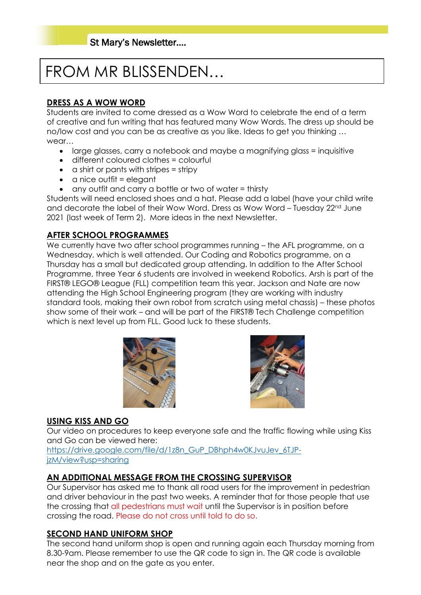# FROM MR BLISSENDEN…

# **DRESS AS A WOW WORD**

Students are invited to come dressed as a Wow Word to celebrate the end of a term of creative and fun writing that has featured many Wow Words. The dress up should be no/low cost and you can be as creative as you like. Ideas to get you thinking … wear…

- large glasses, carry a notebook and maybe a magnifying glass = inquisitive
- different coloured clothes = colourful
- $\bullet$  a shirt or pants with stripes = stripy
- $\bullet$  a nice outfit = elegant
- any outfit and carry a bottle or two of water = thirsty

Students will need enclosed shoes and a hat. Please add a label (have your child write and decorate the label of their Wow Word. Dress as Wow Word – Tuesday 22<sup>nd</sup> June 2021 (last week of Term 2). More ideas in the next Newsletter.

## **AFTER SCHOOL PROGRAMMES**

We currently have two after school programmes running – the AFL programme, on a Wednesday, which is well attended. Our Coding and Robotics programme, on a Thursday has a small but dedicated group attending. In addition to the After School Programme, three Year 6 students are involved in weekend Robotics. Arsh is part of the FIRST® LEGO® League (FLL) competition team this year. Jackson and Nate are now attending the High School Engineering program (they are working with industry standard tools, making their own robot from scratch using metal chassis) – these photos show some of their work – and will be part of the FIRST® Tech Challenge competition which is next level up from FLL. Good luck to these students.





## **USING KISS AND GO**

Our video on procedures to keep everyone safe and the traffic flowing while using Kiss and Go can be viewed here:

[https://drive.google.com/file/d/1z8n\\_GuP\\_DBhph4w0KJvuJev\\_6TJP](https://drive.google.com/file/d/1z8n_GuP_DBhph4w0KJvuJev_6TJP-jzM/view?usp=sharing)[jzM/view?usp=sharing](https://drive.google.com/file/d/1z8n_GuP_DBhph4w0KJvuJev_6TJP-jzM/view?usp=sharing)

## **AN ADDITIONAL MESSAGE FROM THE CROSSING SUPERVISOR**

Our Supervisor has asked me to thank all road users for the improvement in pedestrian and driver behaviour in the past two weeks. A reminder that for those people that use the crossing that all pedestrians must wait until the Supervisor is in position before crossing the road. Please do not cross until told to do so.

## **SECOND HAND UNIFORM SHOP**

The second hand uniform shop is open and running again each Thursday morning from 8.30-9am. Please remember to use the QR code to sign in. The QR code is available near the shop and on the gate as you enter.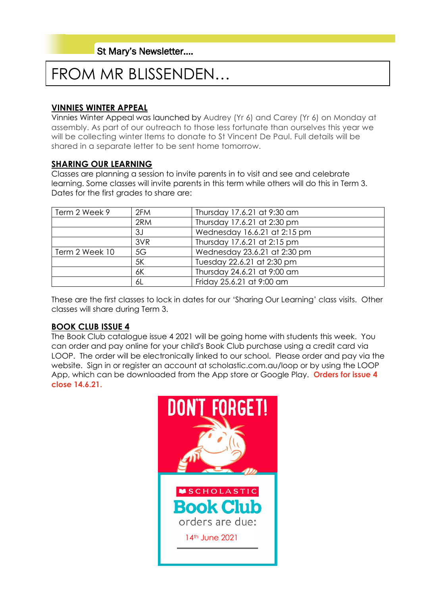# FROM MR BLISSENDEN…

## **VINNIES WINTER APPEAL**

Vinnies Winter Appeal was launched by Audrey (Yr 6) and Carey (Yr 6) on Monday at assembly. As part of our outreach to those less fortunate than ourselves this year we will be collecting winter Items to donate to St Vincent De Paul. Full details will be shared in a separate letter to be sent home tomorrow.

#### **SHARING OUR LEARNING**

Classes are planning a session to invite parents in to visit and see and celebrate learning. Some classes will invite parents in this term while others will do this in Term 3. Dates for the first grades to share are:

| Term 2 Week 9  | 2FM | Thursday 17.6.21 at 9:30 am  |
|----------------|-----|------------------------------|
|                | 2RM | Thursday 17.6.21 at 2:30 pm  |
|                | 3J  | Wednesday 16.6.21 at 2:15 pm |
|                | 3VR | Thursday 17.6.21 at 2:15 pm  |
| Term 2 Week 10 | 5G  | Wednesday 23.6.21 at 2:30 pm |
|                | 5K  | Tuesday 22.6.21 at 2:30 pm   |
|                | 6K  | Thursday 24.6.21 at 9:00 am  |
|                | 6L  | Friday 25.6.21 at 9:00 am    |

These are the first classes to lock in dates for our 'Sharing Our Learning' class visits. Other classes will share during Term 3.

### **BOOK CLUB ISSUE 4**

The Book Club catalogue issue 4 2021 will be going home with students this week. You can order and pay online for your child's Book Club purchase using a credit card via LOOP. The order will be electronically linked to our school. Please order and pay via the website. Sign in or register an account at scholastic.com.au/loop or by using the LOOP App, which can be downloaded from the App store or Google Play. **Orders for issue 4 close 14.6.21.** 

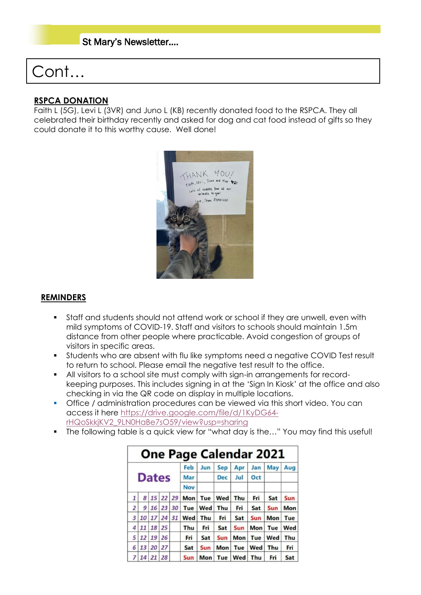## St Mary's Newsletter….

# Cont…

#### **RSPCA DONATION**

Faith L (5G), Levi L (3VR) and Juno L (KB) recently donated food to the RSPCA. They all celebrated their birthday recently and asked for dog and cat food instead of gifts so they could donate it to this worthy cause. Well done!



#### **REMINDERS**

- **•** Staff and students should not attend work or school if they are unwell, even with mild symptoms of COVID-19. Staff and visitors to schools should maintain 1.5m distance from other people where practicable. Avoid congestion of groups of visitors in specific areas.
- **•** Students who are absent with flu like symptoms need a negative COVID Test result to return to school. Please email the negative test result to the office.
- All visitors to a school site must comply with sign-in arrangements for recordkeeping purposes. This includes signing in at the 'Sign In Kiosk' at the office and also checking in via the QR code on display in multiple locations.
- **•** Office / administration procedures can be viewed via this short video. You can access it here [https://drive.google.com/file/d/1KyDG64](https://drive.google.com/file/d/1KyDG64-rHQoSkkjKV2_9LN0HaBe7sO59/view?usp=sharing) [rHQoSkkjKV2\\_9LN0HaBe7sO59/view?usp=sharing](https://drive.google.com/file/d/1KyDG64-rHQoSkkjKV2_9LN0HaBe7sO59/view?usp=sharing)
- The following table is a quick view for "what day is the..." You may find this useful!

| <b>One Page Calendar 2021</b> |              |    |     |    |            |            |            |     |     |            |     |
|-------------------------------|--------------|----|-----|----|------------|------------|------------|-----|-----|------------|-----|
|                               |              |    |     |    | Feb        | Jun        | <b>Sep</b> | Apr | Jan | May        | Aug |
|                               | <b>Dates</b> |    | Mar |    | <b>Dec</b> | Jul        | Oct        |     |     |            |     |
|                               |              |    |     |    | <b>Nov</b> |            |            |     |     |            |     |
| 1                             | 8            | 15 | 22  | 29 | Mon        | Tue        | Wed        | Thu | Fri | Sat        | Sun |
| $\overline{2}$                | 9            | 16 | 23  | 30 | Tue        | Wed        | Thu        | Fri | Sat | <b>Sun</b> | Mon |
| 3                             | 10           | 17 | 24  | 31 | Wed        | Thu        | Fri        | Sat | Sun | <b>Mon</b> | Tue |
| 4                             | 11           | 18 | 25  |    | Thu        | Fri        | Sat        | Sun | Mon | Tue        | Wed |
| 5                             | 12           | 19 | 26  |    | Fri        | Sat        | Sun        | Mon | Tue | Wed        | Thu |
| 6                             | 13           | 20 | 27  |    | Sat        | Sun        | Mon        | Tue | Wed | Thu        | Fri |
|                               | 14           | 21 | 28  |    | Sun        | <b>Mon</b> | Tue        | Wed | Thu | Fri        | Sat |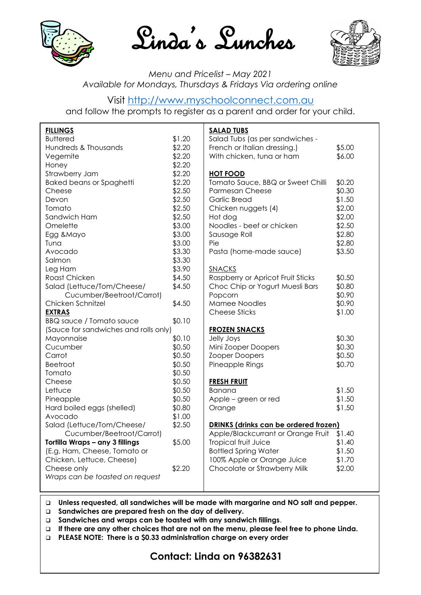





#### *Menu and Pricelist – May 2021 Available for Mondays, Thursdays & Fridays Via ordering online*

### Visit [http://www.myschoolconnect.com.au](http://www.myschoolconnect.com.au/)

and follow the prompts to register as a parent and order for your child.

| <b>FILLINGS</b>                       |        | <b>SALAD TUBS</b>                     |        |
|---------------------------------------|--------|---------------------------------------|--------|
| <b>Buttered</b>                       | \$1.20 | Salad Tubs (as per sandwiches -       |        |
| Hundreds & Thousands                  | \$2.20 | French or Italian dressing.)          | \$5.00 |
| Vegemite                              | \$2.20 | With chicken, tuna or ham             | \$6.00 |
| Honey                                 | \$2.20 |                                       |        |
| Strawberry Jam                        | \$2.20 | <b>HOT FOOD</b>                       |        |
| <b>Baked beans or Spaghetti</b>       | \$2.20 | Tomato Sauce, BBQ or Sweet Chilli     | \$0.20 |
| Cheese                                | \$2.50 | <b>Parmesan Cheese</b>                | \$0.30 |
| Devon                                 | \$2.50 | <b>Garlic Bread</b>                   | \$1.50 |
| Tomato                                | \$2.50 | Chicken nuggets (4)                   | \$2.00 |
| Sandwich Ham                          | \$2.50 | Hot dog                               | \$2.00 |
| Omelette                              | \$3.00 | Noodles - beef or chicken             | \$2.50 |
| Egg & Mayo                            | \$3.00 | Sausage Roll                          | \$2.80 |
| Tuna                                  | \$3.00 | Pie                                   | \$2.80 |
| Avocado                               | \$3.30 | Pasta (home-made sauce)               | \$3.50 |
| Salmon                                | \$3.30 |                                       |        |
| Leg Ham                               | \$3.90 | <b>SNACKS</b>                         |        |
| Roast Chicken                         | \$4.50 | Raspberry or Apricot Fruit Sticks     | \$0.50 |
| Salad (Lettuce/Tom/Cheese/            | \$4.50 | Choc Chip or Yogurt Muesli Bars       | \$0.80 |
| Cucumber/Beetroot/Carrot)             |        | Popcorn                               | \$0.90 |
| Chicken Schnitzel                     | \$4.50 | Mamee Noodles                         | \$0.90 |
| <b>EXTRAS</b>                         |        | <b>Cheese Sticks</b>                  | \$1.00 |
| <b>BBQ sauce / Tomato sauce</b>       | \$0.10 |                                       |        |
| (Sauce for sandwiches and rolls only) |        | <b>FROZEN SNACKS</b>                  |        |
| Mayonnaise                            | \$0.10 | Jelly Joys                            | \$0.30 |
| Cucumber                              | \$0.50 | Mini Zooper Doopers                   | \$0.30 |
| Carrot                                | \$0.50 | Zooper Doopers                        | \$0.50 |
| <b>Beetroot</b>                       | \$0.50 | Pineapple Rings                       | \$0.70 |
| Tomato                                | \$0.50 |                                       |        |
| Cheese                                | \$0.50 | <b>FRESH FRUIT</b>                    |        |
| Lettuce                               | \$0.50 | Banana                                | \$1.50 |
| Pineapple                             | \$0.50 | Apple - green or red                  | \$1.50 |
| Hard boiled eggs (shelled)            | \$0.80 | Orange                                | \$1.50 |
| Avocado                               | \$1.00 |                                       |        |
| Salad (Lettuce/Tom/Cheese/            | \$2.50 | DRINKS (drinks can be ordered frozen) |        |
| Cucumber/Beetroot/Carrot)             |        | Apple/Blackcurrant or Orange Fruit    | \$1.40 |
| Tortilla Wraps - any 3 fillings       | \$5.00 | Tropical fruit Juice                  | \$1.40 |
| (E.g. Ham, Cheese, Tomato or          |        | <b>Bottled Spring Water</b>           | \$1.50 |
| Chicken, Lettuce, Cheese)             |        | 100% Apple or Orange Juice            | \$1.70 |
| Cheese only                           | \$2.20 | Chocolate or Strawberry Milk          | \$2.00 |
| Wraps can be toasted on request       |        |                                       |        |
|                                       |        |                                       |        |

❑ **Unless requested, all sandwiches will be made with margarine and NO salt and pepper.**

❑ **Sandwiches are prepared fresh on the day of delivery.**

- ❑ **Sandwiches and wraps can be toasted with any sandwich fillings**.
- ❑ **If there are any other choices that are not on the menu, please feel free to phone Linda.**
- ❑ **PLEASE NOTE: There is a \$0.33 administration charge on every order**

# **Contact: Linda on 96382631**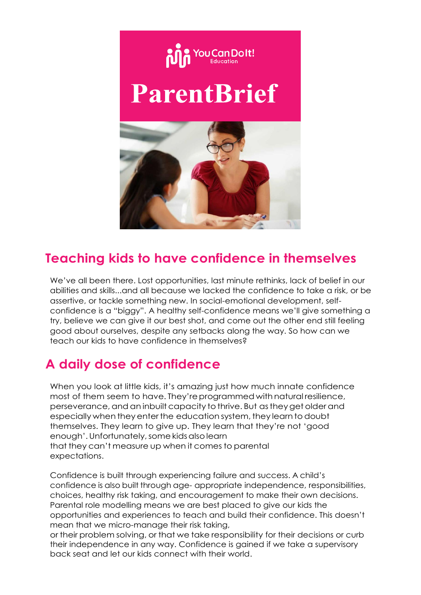

# **Teaching kids to have confidence in themselves**

We've all been there. Lost opportunities, last minute rethinks, lack of belief in our abilities and skills...and all because we lacked the confidence to take a risk, or be assertive, or tackle something new. In social-emotional development, selfconfidence is a "biggy". A healthy self-confidence means we'll give something a try, believe we can give it our best shot, and come out the other end still feeling good about ourselves, despite any setbacks along the way. So how can we teach our kids to have confidence in themselves?

# **A daily dose of confidence**

When you look at little kids, it's amazing just how much innate confidence most of them seem to have. They're programmed with natural resilience, perseverance, and an inbuilt capacity tothrive. But astheyget olderand especially when they enterthe education system, they learn to doubt themselves. They learn to give up. They learn that they're not 'good enough'.Unfortunately,somekidsalsolearn that they can't measure up when it comes to parental expectations.

Confidence is built through experiencing failure and success. A child's confidence is also built through age- appropriate independence, responsibilities, choices, healthy risk taking, and encouragement to make their own decisions. Parental role modelling means we are best placed to give our kids the opportunities and experiences to teach and build their confidence. This doesn't mean that we micro-manage their risk taking,

or their problem solving, or that we take responsibility for their decisions or curb their independence in any way. Confidence is gained if we take a supervisory back seat and let our kids connect with their world.